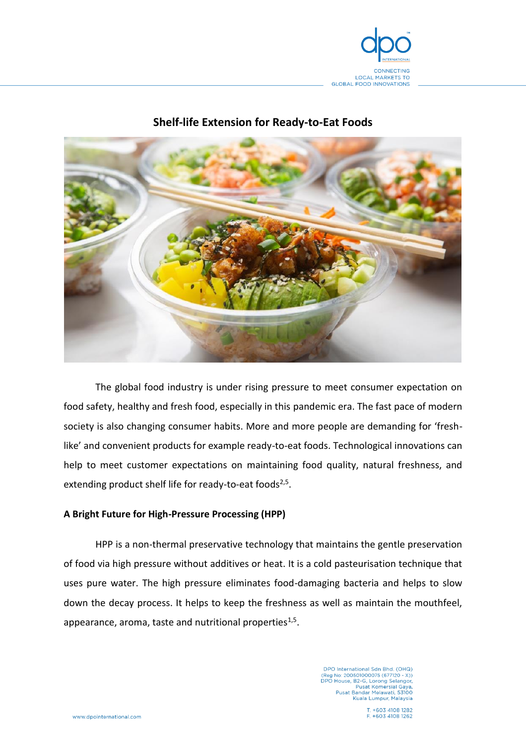

# **Shelf-life Extension for Ready-to-Eat Foods**



The global food industry is under rising pressure to meet consumer expectation on food safety, healthy and fresh food, especially in this pandemic era. The fast pace of modern society is also changing consumer habits. More and more people are demanding for 'freshlike' and convenient products for example ready-to-eat foods. Technological innovations can help to meet customer expectations on maintaining food quality, natural freshness, and extending product shelf life for ready-to-eat foods<sup>2,5</sup>.

## **A Bright Future for High-Pressure Processing (HPP)**

HPP is a non-thermal preservative technology that maintains the gentle preservation of food via high pressure without additives or heat. It is a cold pasteurisation technique that uses pure water. The high pressure eliminates food-damaging bacteria and helps to slow down the decay process. It helps to keep the freshness as well as maintain the mouthfeel, appearance, aroma, taste and nutritional properties $^{1,5}$ .

> DPO International Sdn Bhd. (OHQ)<br>(Reg No: 200501000075 (677120 - X))<br>DPO House, B2-G, Lorong Selangor, Pusat Komersial Gaya,<br>Pusat Bandar Melawati, 53100 Kuala Lumpur, Malaysia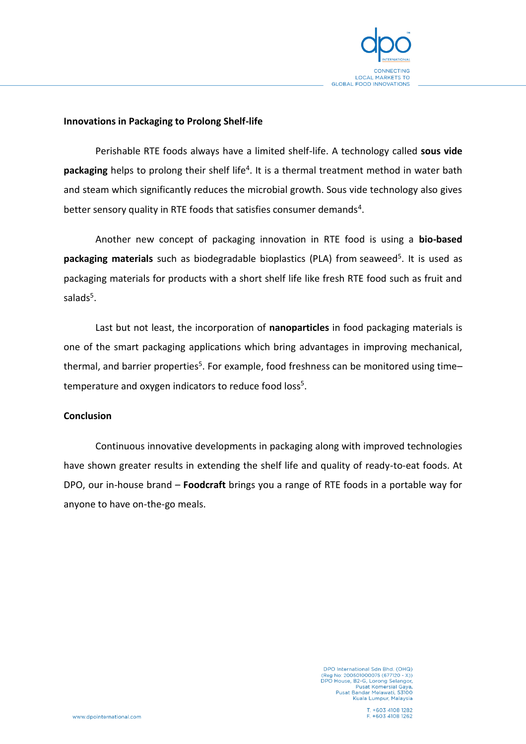

## **Innovations in Packaging to Prolong Shelf-life**

Perishable RTE foods always have a limited shelf-life. A technology called **sous vide packaging** helps to prolong their shelf life<sup>4</sup>. It is a thermal treatment method in water bath and steam which significantly reduces the microbial growth. Sous vide technology also gives better sensory quality in RTE foods that satisfies consumer demands<sup>4</sup>.

Another new concept of packaging innovation in RTE food is using a **bio-based**  packaging materials such as biodegradable bioplastics (PLA) from seaweed<sup>5</sup>. It is used as packaging materials for products with a short shelf life like fresh RTE food such as fruit and salads<sup>5</sup>.

Last but not least, the incorporation of **nanoparticles** in food packaging materials is one of the smart packaging applications which bring advantages in improving mechanical, thermal, and barrier properties<sup>5</sup>. For example, food freshness can be monitored using time– temperature and oxygen indicators to reduce food loss<sup>5</sup>.

### **Conclusion**

Continuous innovative developments in packaging along with improved technologies have shown greater results in extending the shelf life and quality of ready-to-eat foods. At DPO, our in-house brand – **Foodcraft** brings you a range of RTE foods in a portable way for anyone to have on-the-go meals.

> DPO International Sdn Bhd. (OHQ)<br>(Reg No: 200501000075 (677120 - X))<br>DPO House, B2-G, Lorong Selangor, Pusat Komersial Gaya,<br>Pusat Bandar Melawati, 53100 Kuala Lumpur, Malaysia

T. +603 4108 1282 F +603 4108 1262